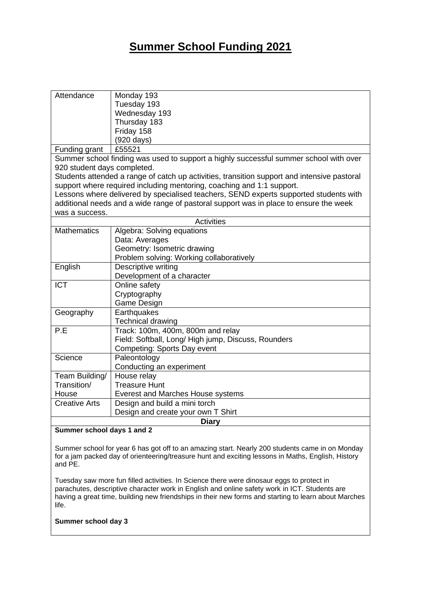# **Summer School Funding 2021**

| Attendance                                                                                  | Monday 193                                          |  |
|---------------------------------------------------------------------------------------------|-----------------------------------------------------|--|
|                                                                                             | Tuesday 193                                         |  |
|                                                                                             | Wednesday 193                                       |  |
|                                                                                             | Thursday 183                                        |  |
|                                                                                             | Friday 158                                          |  |
|                                                                                             | $(920 \text{ days})$                                |  |
| Funding grant                                                                               | £55521                                              |  |
| Summer school finding was used to support a highly successful summer school with over       |                                                     |  |
| 920 student days completed.                                                                 |                                                     |  |
| Students attended a range of catch up activities, transition support and intensive pastoral |                                                     |  |
| support where required including mentoring, coaching and 1:1 support.                       |                                                     |  |
| Lessons where delivered by specialised teachers, SEND experts supported students with       |                                                     |  |
| additional needs and a wide range of pastoral support was in place to ensure the week       |                                                     |  |
| was a success.                                                                              |                                                     |  |
| Activities                                                                                  |                                                     |  |
| <b>Mathematics</b>                                                                          | Algebra: Solving equations                          |  |
|                                                                                             | Data: Averages                                      |  |
|                                                                                             | Geometry: Isometric drawing                         |  |
|                                                                                             | Problem solving: Working collaboratively            |  |
| English                                                                                     | Descriptive writing                                 |  |
|                                                                                             | Development of a character                          |  |
| <b>ICT</b>                                                                                  | Online safety                                       |  |
|                                                                                             | Cryptography                                        |  |
|                                                                                             | Game Design                                         |  |
| Geography                                                                                   | Earthquakes                                         |  |
|                                                                                             | <b>Technical drawing</b>                            |  |
| P.E                                                                                         | Track: 100m, 400m, 800m and relay                   |  |
|                                                                                             | Field: Softball, Long/ High jump, Discuss, Rounders |  |
|                                                                                             | Competing: Sports Day event                         |  |
| Science                                                                                     | Paleontology                                        |  |
|                                                                                             | Conducting an experiment                            |  |
| Team Building/                                                                              | House relay                                         |  |
| Transition/                                                                                 | <b>Treasure Hunt</b>                                |  |
| House                                                                                       | Everest and Marches House systems                   |  |
| <b>Creative Arts</b>                                                                        | Design and build a mini torch                       |  |
|                                                                                             | Design and create your own T Shirt                  |  |
| <b>Diary</b>                                                                                |                                                     |  |
|                                                                                             |                                                     |  |

## **Summer school days 1 and 2**

Summer school for year 6 has got off to an amazing start. Nearly 200 students came in on Monday for a jam packed day of orienteering/treasure hunt and exciting lessons in Maths, English, History and PE.

Tuesday saw more fun filled activities. In Science there were dinosaur eggs to protect in parachutes, descriptive character work in English and online safety work in ICT. Students are having a great time, building new friendships in their new forms and starting to learn about Marches life.

## **Summer school day 3**